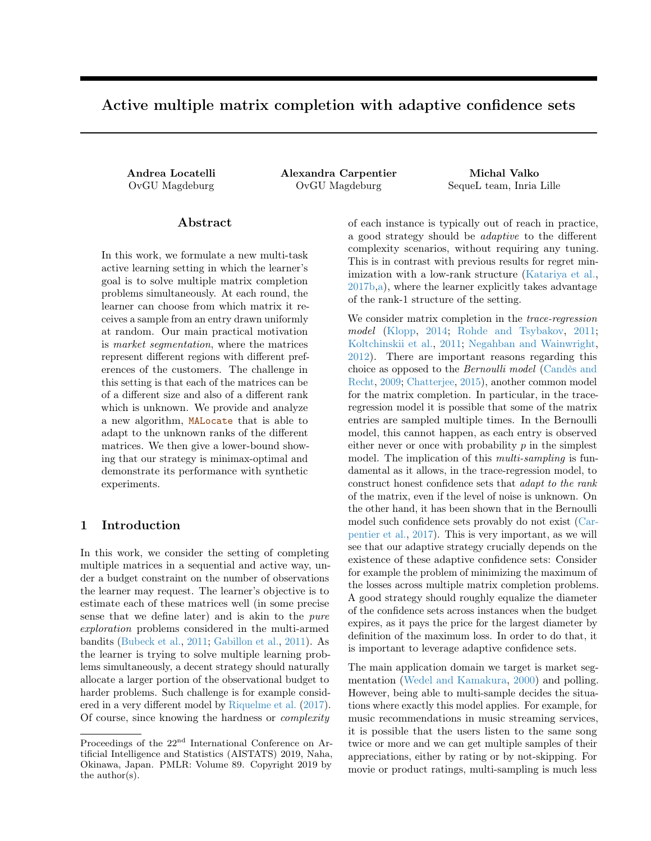# <span id="page-0-0"></span>Active multiple matrix completion with adaptive confidence sets

Andrea Locatelli Alexandra Carpentier Michal Valko OvGU Magdeburg OvGU Magdeburg SequeL team, Inria Lille

### Abstract

In this work, we formulate a new multi-task active learning setting in which the learner's goal is to solve multiple matrix completion problems simultaneously. At each round, the learner can choose from which matrix it receives a sample from an entry drawn uniformly at random. Our main practical motivation is market segmentation, where the matrices represent different regions with different preferences of the customers. The challenge in this setting is that each of the matrices can be of a different size and also of a different rank which is unknown. We provide and analyze a new algorithm, MALocate that is able to adapt to the unknown ranks of the different matrices. We then give a lower-bound showing that our strategy is minimax-optimal and demonstrate its performance with synthetic experiments.

# 1 Introduction

In this work, we consider the setting of completing multiple matrices in a sequential and active way, under a budget constraint on the number of observations the learner may request. The learner's objective is to estimate each of these matrices well (in some precise sense that we define later) and is akin to the pure exploration problems considered in the multi-armed bandits [\(Bubeck et al.,](#page-8-0) [2011;](#page-8-0) [Gabillon et al.,](#page-8-1) [2011\)](#page-8-1). As the learner is trying to solve multiple learning problems simultaneously, a decent strategy should naturally allocate a larger portion of the observational budget to harder problems. Such challenge is for example considered in a very different model by [Riquelme et al.](#page-8-2) [\(2017\)](#page-8-2). Of course, since knowing the hardness or complexity

of each instance is typically out of reach in practice, a good strategy should be adaptive to the different complexity scenarios, without requiring any tuning. This is in contrast with previous results for regret minimization with a low-rank structure [\(Katariya et al.,](#page-8-3) [2017b,](#page-8-3)[a\)](#page-8-4), where the learner explicitly takes advantage of the rank-1 structure of the setting.

We consider matrix completion in the *trace-regression* model [\(Klopp,](#page-8-5) [2014;](#page-8-5) [Rohde and Tsybakov,](#page-8-6) [2011;](#page-8-6) [Koltchinskii et al.,](#page-8-7) [2011;](#page-8-7) [Negahban and Wainwright,](#page-8-8) [2012\)](#page-8-8). There are important reasons regarding this choice as opposed to the Bernoulli model [\(Candès and](#page-8-9) [Recht,](#page-8-9) [2009;](#page-8-9) [Chatterjee,](#page-8-10) [2015\)](#page-8-10), another common model for the matrix completion. In particular, in the traceregression model it is possible that some of the matrix entries are sampled multiple times. In the Bernoulli model, this cannot happen, as each entry is observed either never or once with probability  $p$  in the simplest model. The implication of this *multi-sampling* is fundamental as it allows, in the trace-regression model, to construct honest confidence sets that adapt to the rank of the matrix, even if the level of noise is unknown. On the other hand, it has been shown that in the Bernoulli model such confidence sets provably do not exist [\(Car](#page-8-11)[pentier et al.,](#page-8-11) [2017\)](#page-8-11). This is very important, as we will see that our adaptive strategy crucially depends on the existence of these adaptive confidence sets: Consider for example the problem of minimizing the maximum of the losses across multiple matrix completion problems. A good strategy should roughly equalize the diameter of the confidence sets across instances when the budget expires, as it pays the price for the largest diameter by definition of the maximum loss. In order to do that, it is important to leverage adaptive confidence sets.

The main application domain we target is market segmentation [\(Wedel and Kamakura,](#page-8-12) [2000\)](#page-8-12) and polling. However, being able to multi-sample decides the situations where exactly this model applies. For example, for music recommendations in music streaming services, it is possible that the users listen to the same song twice or more and we can get multiple samples of their appreciations, either by rating or by not-skipping. For movie or product ratings, multi-sampling is much less

Proceedings of the 22<sup>nd</sup> International Conference on Artificial Intelligence and Statistics (AISTATS) 2019, Naha, Okinawa, Japan. PMLR: Volume 89. Copyright 2019 by the author(s).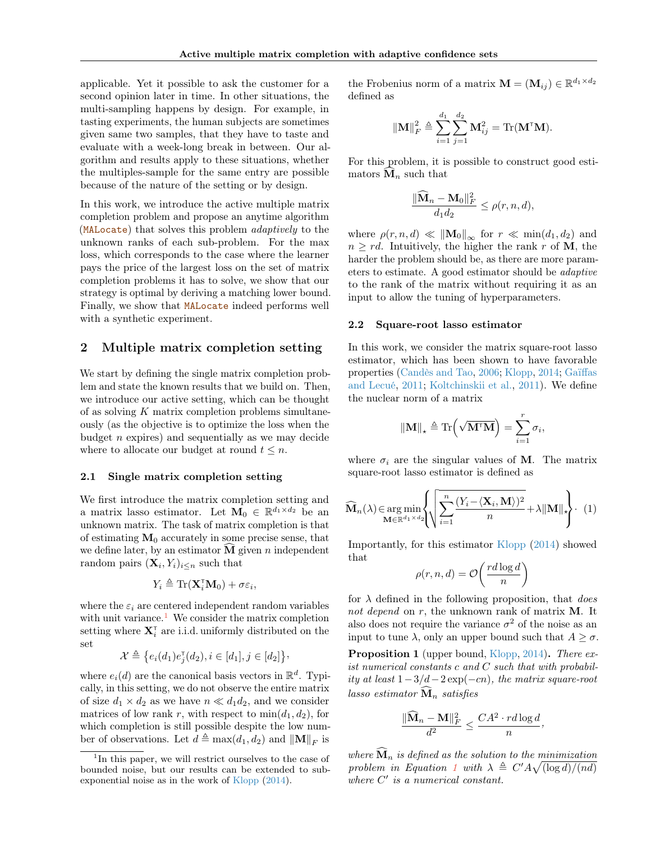applicable. Yet it possible to ask the customer for a second opinion later in time. In other situations, the multi-sampling happens by design. For example, in tasting experiments, the human subjects are sometimes given same two samples, that they have to taste and evaluate with a week-long break in between. Our algorithm and results apply to these situations, whether the multiples-sample for the same entry are possible because of the nature of the setting or by design.

In this work, we introduce the active multiple matrix completion problem and propose an anytime algorithm (MALocate) that solves this problem adaptively to the unknown ranks of each sub-problem. For the max loss, which corresponds to the case where the learner pays the price of the largest loss on the set of matrix completion problems it has to solve, we show that our strategy is optimal by deriving a matching lower bound. Finally, we show that MALocate indeed performs well with a synthetic experiment.

# 2 Multiple matrix completion setting

We start by defining the single matrix completion problem and state the known results that we build on. Then, we introduce our active setting, which can be thought of as solving  $K$  matrix completion problems simultaneously (as the objective is to optimize the loss when the budget  $n$  expires) and sequentially as we may decide where to allocate our budget at round  $t \leq n$ .

#### 2.1 Single matrix completion setting

We first introduce the matrix completion setting and a matrix lasso estimator. Let  $M_0 \in \mathbb{R}^{d_1 \times d_2}$  be an unknown matrix. The task of matrix completion is that of estimating  $M_0$  accurately in some precise sense, that we define later, by an estimator  $\overline{M}$  given n independent random pairs  $(\mathbf{X}_i, Y_i)_{i \leq n}$  such that

$$
Y_i \triangleq \text{Tr}(\mathbf{X}_i^{\text{T}} \mathbf{M}_0) + \sigma \varepsilon_i,
$$

where the  $\varepsilon_i$  are centered independent random variables with unit variance.<sup>[1](#page-1-0)</sup> We consider the matrix completion setting where  $\mathbf{X}_{i}^{\tau}$  are i.i.d. uniformly distributed on the set

$$
\mathcal{X} \triangleq \big\{ e_i(d_1) e_j^{\mathsf{T}}(d_2), i \in [d_1], j \in [d_2] \big\},\
$$

where  $e_i(d)$  are the canonical basis vectors in  $\mathbb{R}^d$ . Typically, in this setting, we do not observe the entire matrix of size  $d_1 \times d_2$  as we have  $n \ll d_1 d_2$ , and we consider matrices of low rank r, with respect to  $min(d_1, d_2)$ , for which completion is still possible despite the low number of observations. Let  $d \triangleq \max(d_1, d_2)$  and  $||\mathbf{M}||_F$  is

the Frobenius norm of a matrix  $\mathbf{M} = (\mathbf{M}_{ij}) \in \mathbb{R}^{d_1 \times d_2}$ defined as

$$
\|\mathbf{M}\|_{F}^{2} \triangleq \sum_{i=1}^{d_{1}} \sum_{j=1}^{d_{2}} \mathbf{M}_{ij}^{2} = \text{Tr}(\mathbf{M}^{\mathsf{T}} \mathbf{M}).
$$

For this problem, it is possible to construct good estimators  $\mathbf{\hat{M}}_n$  such that

$$
\frac{\|\widehat{\mathbf{M}}_n - \mathbf{M}_0\|_F^2}{d_1 d_2} \le \rho(r, n, d),
$$

where  $\rho(r, n, d) \ll ||\mathbf{M}_0||_{\infty}$  for  $r \ll \min(d_1, d_2)$  and  $n \geq rd$ . Intuitively, the higher the rank r of M, the harder the problem should be, as there are more parameters to estimate. A good estimator should be adaptive to the rank of the matrix without requiring it as an input to allow the tuning of hyperparameters.

#### 2.2 Square-root lasso estimator

In this work, we consider the matrix square-root lasso estimator, which has been shown to have favorable properties [\(Candès and Tao,](#page-8-13) [2006;](#page-8-13) [Klopp,](#page-8-5) [2014;](#page-8-5) [Gaïffas](#page-8-14) [and Lecué,](#page-8-14) [2011;](#page-8-14) [Koltchinskii et al.,](#page-8-7) [2011\)](#page-8-7). We define the nuclear norm of a matrix

$$
\|\mathbf{M}\|_{\star} \triangleq \text{Tr}\left(\sqrt{\mathbf{M}^{\mathsf{T}}\mathbf{M}}\right) = \sum_{i=1}^{r} \sigma_i,
$$

where  $\sigma_i$  are the singular values of **M**. The matrix square-root lasso estimator is defined as

<span id="page-1-1"></span>
$$
\widehat{\mathbf{M}}_{n}(\lambda) \in \underset{\mathbf{M} \in \mathbb{R}^{d_1 \times d_2}}{\arg \min} \left\{ \sqrt{\sum_{i=1}^{n} \frac{(Y_i - \langle \mathbf{X}_i, \mathbf{M} \rangle)^2}{n}} + \lambda \|\mathbf{M}\|_{\star} \right\}.
$$
 (1)

Importantly, for this estimator [Klopp](#page-8-5) [\(2014\)](#page-8-5) showed that

$$
\rho(r, n, d) = \mathcal{O}\left(\frac{rd \log d}{n}\right)
$$

for  $\lambda$  defined in the following proposition, that *does* not depend on r, the unknown rank of matrix M. It also does not require the variance  $\sigma^2$  of the noise as an input to tune  $\lambda$ , only an upper bound such that  $A \geq \sigma$ .

<span id="page-1-2"></span>Proposition 1 (upper bound, [Klopp,](#page-8-5) [2014\)](#page-8-5). There exist numerical constants c and C such that with probability at least  $1-3/d-2 \exp(-cn)$ , the matrix square-root lasso estimator  $\widehat{M}_n$  satisfies

$$
\frac{\|\widehat{\mathbf{M}}_n - \mathbf{M}\|_F^2}{d^2} \le \frac{CA^2 \cdot r d \log d}{n},
$$

where  $\mathbf{\hat{M}}_n$  is defined as the solution to the minimization problem in Equation [1](#page-1-1) with  $\lambda \triangleq C' A \sqrt{\frac{\log d}{n}}$ where  $C'$  is a numerical constant.

<span id="page-1-0"></span><sup>&</sup>lt;sup>1</sup>In this paper, we will restrict ourselves to the case of bounded noise, but our results can be extended to subexponential noise as in the work of [Klopp](#page-8-5) [\(2014\)](#page-8-5).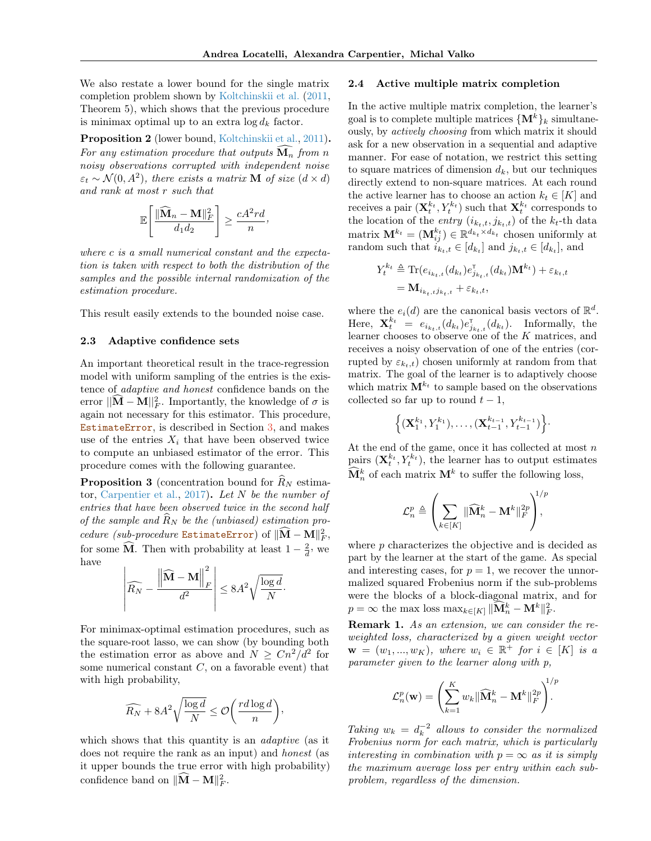We also restate a lower bound for the single matrix completion problem shown by [Koltchinskii et al.](#page-8-7) [\(2011,](#page-8-7) Theorem 5), which shows that the previous procedure is minimax optimal up to an extra  $\log d_k$  factor.

Proposition 2 (lower bound, [Koltchinskii et al.,](#page-8-7) [2011\)](#page-8-7). For any estimation procedure that outputs  $\widehat{\mathbf{M}_n}$  from n noisy observations corrupted with independent noise  $\varepsilon_t \sim \mathcal{N}(0, A^2)$ , there exists a matrix **M** of size  $(d \times d)$ and rank at most r such that

$$
\mathbb{E}\left[\frac{\|\widehat{\mathbf{M}}_n - \mathbf{M}\|_F^2}{d_1 d_2}\right] \ge \frac{cA^2 r d}{n},
$$

where c is a small numerical constant and the expectation is taken with respect to both the distribution of the samples and the possible internal randomization of the estimation procedure.

This result easily extends to the bounded noise case.

#### 2.3 Adaptive confidence sets

An important theoretical result in the trace-regression model with uniform sampling of the entries is the existence of adaptive and honest confidence bands on the error  $||\hat{\mathbf{M}} - \mathbf{M}||_F^2$ . Importantly, the knowledge of  $\sigma$  is again not necessary for this estimator. This procedure, EstimateError, is described in Section [3,](#page-3-0) and makes use of the entries  $X_i$  that have been observed twice to compute an unbiased estimator of the error. This procedure comes with the following guarantee.

**Proposition 3** (concentration bound for  $\widehat{R}_N$  estima-tor, [Carpentier et al.,](#page-8-11) [2017\)](#page-8-11). Let  $N$  be the number of entries that have been observed twice in the second half of the sample and  $\ddot{R}_N$  be the (unbiased) estimation procedure (sub-procedure EstimateError) of  $\|\widehat{M} - M\|_F^2$ , for some  $\widehat{M}$ . Then with probability at least  $1 - \frac{2}{d}$ , we have

$$
\left| \widehat{R_N} - \frac{\left\| \widehat{M} - M \right\|_F^2}{d^2} \right| \le 8A^2 \sqrt{\frac{\log d}{N}}.
$$

For minimax-optimal estimation procedures, such as the square-root lasso, we can show (by bounding both the estimation error as above and  $N \geq Cn^2/d^2$  for some numerical constant  $C$ , on a favorable event) that with high probability,

$$
\widehat{R_N} + 8A^2 \sqrt{\frac{\log d}{N}} \le \mathcal{O}\bigg(\frac{rd\log d}{n}\bigg),\,
$$

which shows that this quantity is an *adaptive* (as it does not require the rank as an input) and honest (as it upper bounds the true error with high probability) confidence band on  $\|\widehat{M} - M\|_F^2$ .

#### 2.4 Active multiple matrix completion

In the active multiple matrix completion, the learner's goal is to complete multiple matrices  $\{M^k\}_k$  simultaneously, by actively choosing from which matrix it should ask for a new observation in a sequential and adaptive manner. For ease of notation, we restrict this setting to square matrices of dimension  $d_k$ , but our techniques directly extend to non-square matrices. At each round the active learner has to choose an action  $k_t \in [K]$  and receives a pair  $(\mathbf{X}_t^{k_t}, Y_t^{k_t})$  such that  $\mathbf{X}_t^{k_t}$  corresponds to the location of the *entry*  $(i_{k_t,t}, j_{k_t,t})$  of the  $k_t$ -th data matrix  $\mathbf{M}^{k_t} = (\mathbf{M}_{ij}^{k_t}) \in \mathbb{R}^{d_{k_t} \times d_{k_t}}$  chosen uniformly at random such that  $i_{k_t,t} \in [d_{k_t}]$  and  $j_{k_t,t} \in [d_{k_t}]$ , and

$$
Y_t^{k_t} \triangleq \text{Tr}(e_{i_{k_t,t}}(d_{k_t})e_{j_{k_t,t}}^{\mathsf{T}}(d_{k_t})\mathbf{M}^{k_t}) + \varepsilon_{k_t,t}
$$

$$
= \mathbf{M}_{i_{k_t,t}j_{k_t,t}} + \varepsilon_{k_t,t},
$$

where the  $e_i(d)$  are the canonical basis vectors of  $\mathbb{R}^d$ . Here,  $\mathbf{X}_{t}^{k_t} = e_{i_{k_t,t}}(d_{k_t})e_{j_{k_t,t}}^{\mathsf{T}}(d_{k_t})$ . Informally, the learner chooses to observe one of the K matrices, and receives a noisy observation of one of the entries (corrupted by  $\varepsilon_{k_t,t}$ ) chosen uniformly at random from that matrix. The goal of the learner is to adaptively choose which matrix  $\mathbf{M}^{k_t}$  to sample based on the observations collected so far up to round  $t - 1$ ,

$$
\left\{(\mathbf{X}_1^{k_1},Y_1^{k_1}),\ldots,(\mathbf{X}_{t-1}^{k_{t-1}},Y_{t-1}^{k_{t-1}})\right\}
$$

At the end of the game, once it has collected at most  $n$ pairs  $(\mathbf{X}_t^{k_t}, Y_t^{k_t})$ , the learner has to output estimates  $\widehat{\mathbf{M}}_n^k$  of each matrix  $\mathbf{M}^k$  to suffer the following loss,

$$
\mathcal{L}_n^p \triangleq \left(\sum_{k \in [K]} \|\widehat{\mathbf{M}}_n^k - \mathbf{M}^k\|_F^{2p} \right)^{\!\!1/p},
$$

where  $p$  characterizes the objective and is decided as part by the learner at the start of the game. As special and interesting cases, for  $p = 1$ , we recover the unnormalized squared Frobenius norm if the sub-problems were the blocks of a block-diagonal matrix, and for  $p = \infty$  the max loss  $\max_{k \in [K]} \|\widehat{\mathbf{M}}_n^k - \mathbf{M}^k\|_F^2$ .

Remark 1. As an extension, we can consider the reweighted loss, characterized by a given weight vector  $\mathbf{w} = (w_1, ..., w_K)$ , where  $w_i \in \mathbb{R}^+$  for  $i \in [K]$  is a parameter given to the learner along with p,

$$
\mathcal{L}_n^p(\mathbf{w}) = \left(\sum_{k=1}^K w_k \|\widehat{\mathbf{M}}_n^k - \mathbf{M}^k\|_F^{2p}\right)^{1/p}.
$$

Taking  $w_k = d_k^{-2}$  allows to consider the normalized Frobenius norm for each matrix, which is particularly interesting in combination with  $p = \infty$  as it is simply the maximum average loss per entry within each subproblem, regardless of the dimension.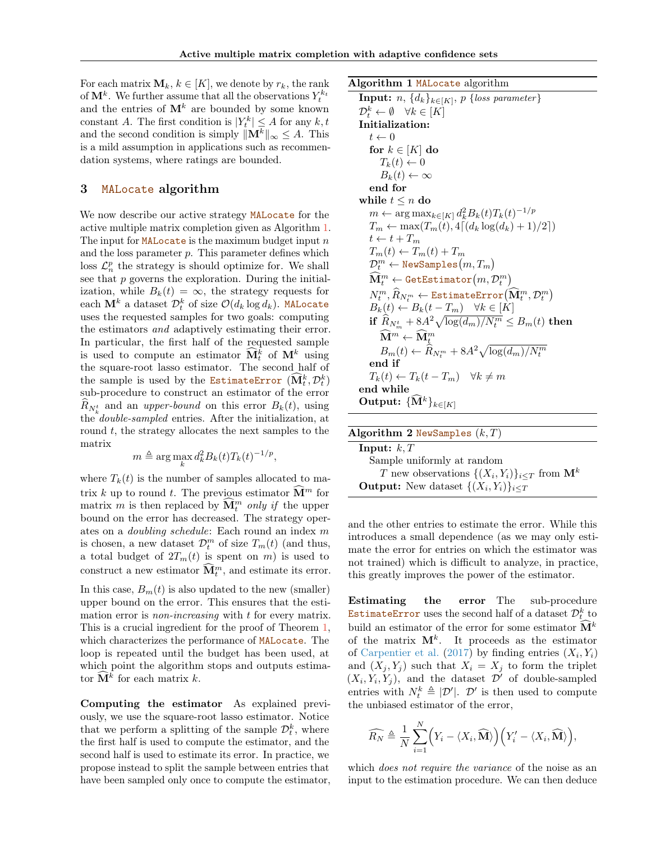For each matrix  $\mathbf{M}_k, k \in [K]$ , we denote by  $r_k$ , the rank of  $\mathbf{M}^k$ . We further assume that all the observations  $Y_t^{k_t}$ and the entries of  $M^k$  are bounded by some known constant A. The first condition is  $|Y_t^k| \leq A$  for any  $k, t$ and the second condition is simply  $||\mathbf{M}^k||_{\infty} \leq A$ . This is a mild assumption in applications such as recommendation systems, where ratings are bounded.

# <span id="page-3-0"></span>3 MALocate algorithm

We now describe our active strategy MALocate for the active multiple matrix completion given as Algorithm [1.](#page-3-1) The input for **MAL**ocate is the maximum budget input  $n$ and the loss parameter  $p$ . This parameter defines which loss  $\mathcal{L}_n^p$  the strategy is should optimize for. We shall see that  $p$  governs the exploration. During the initialization, while  $B_k(t) = \infty$ , the strategy requests for each  $\mathbf{M}^k$  a dataset  $\mathcal{D}_t^k$  of size  $\mathcal{O}(d_k\log d_k)$ . MALocate uses the requested samples for two goals: computing the estimators and adaptively estimating their error. In particular, the first half of the requested sample is used to compute an estimator  $\widehat{\mathbf{M}}_t^k$  of  $\mathbf{M}^k$  using the square-root lasso estimator. The second half of the sample is used by the EstimateError  $(\widehat{\mathbf{M}}_t^k, \mathcal{D}_t^k)$ sub-procedure to construct an estimator of the error  $R_{N_k^t}$  and an *upper-bound* on this error  $B_k(t)$ , using the double-sampled entries. After the initialization, at round  $t$ , the strategy allocates the next samples to the matrix

$$
m \triangleq \arg\max_{k} d_k^2 B_k(t) T_k(t)^{-1/p}
$$

,

where  $T_k(t)$  is the number of samples allocated to matrix k up to round t. The previous estimator  $\mathbf{\hat{M}}^m$  for matrix m is then replaced by  $\widehat{\mathbf{M}}_t^m$  only if the upper bound on the error has decreased. The strategy operates on a doubling schedule: Each round an index m is chosen, a new dataset  $\mathcal{D}_t^m$  of size  $T_m(t)$  (and thus, a total budget of  $2T_m(t)$  is spent on m) is used to construct a new estimator  $\widehat{\mathbf{M}}_t^m$ , and estimate its error.

In this case,  $B_m(t)$  is also updated to the new (smaller) upper bound on the error. This ensures that the estimation error is *non-increasing* with t for every matrix. This is a crucial ingredient for the proof of Theorem [1,](#page-4-0) which characterizes the performance of MALocate. The loop is repeated until the budget has been used, at which point the algorithm stops and outputs estimator  $\widehat{\mathbf{M}}^k$  for each matrix k.

Computing the estimator As explained previously, we use the square-root lasso estimator. Notice that we perform a splitting of the sample  $\mathcal{D}_t^k$ , where the first half is used to compute the estimator, and the second half is used to estimate its error. In practice, we propose instead to split the sample between entries that have been sampled only once to compute the estimator, Algorithm 1 MALocate algorithm

<span id="page-3-1"></span>

| <b>Input:</b> <i>n</i> , $\{d_k\}_{k\in[K]}, p$ { <i>loss parameter</i> }                               |
|---------------------------------------------------------------------------------------------------------|
| $\mathcal{D}_{t}^{k} \leftarrow \emptyset \quad \forall k \in [K]$                                      |
| Initialization:                                                                                         |
| $t \leftarrow 0$                                                                                        |
| for $k \in [K]$ do                                                                                      |
| $T_k(t) \leftarrow 0$                                                                                   |
| $B_k(t) \leftarrow \infty$                                                                              |
| end for                                                                                                 |
| while $t \leq n$ do                                                                                     |
| $m \leftarrow \arg \max_{k \in [K]} d_k^2 B_k(t) T_k(t)^{-1/p}$                                         |
| $T_m \leftarrow \max(T_m(t), 4\lceil (d_k \log(d_k) + 1)/2 \rceil)$                                     |
| $t \leftarrow t + T_m$                                                                                  |
| $T_m(t) \leftarrow T_m(t) + T_m$                                                                        |
| $\mathcal{D}_t^m \leftarrow \texttt{NewSamples}(m, T_m)$                                                |
| $\mathbf{\widehat{M}}_t^m \leftarrow \texttt{GetEstimator}\!\left(m,\mathcal{D}_t^m\right)$             |
| $N_t^m, \widehat{R}_{N_t^m} \leftarrow \texttt{EstimateError}\big(\mathbf{M}_t^m, \mathcal{D}_t^m\big)$ |
| $B_k(t) \leftarrow B_k(t - T_m) \quad \forall k \in [K]$                                                |
| if $\widehat{R}_{N_m^t} + 8A^2 \sqrt{\log(d_m)/N_t^m} \leq B_m(t)$ then                                 |
| $\hat{\mathbf{M}}^{m} \leftarrow \widehat{\mathbf{M}}_t^m$                                              |
| $B_m(t) \leftarrow R_{N_t^m} + 8A^2 \sqrt{\log(d_m)/N_t^m}$                                             |
| end if                                                                                                  |
| $T_k(t) \leftarrow T_k(t - T_m) \quad \forall k \neq m$                                                 |
| end while                                                                                               |
| Output: $\{ {\bf M}^k \}_{k \in [K]}$                                                                   |
|                                                                                                         |

| Algorithm 2 NewSamples $(k, T)$                                   |
|-------------------------------------------------------------------|
| Input: $k$ , $T$                                                  |
| Sample uniformly at random                                        |
| T new observations $\{(X_i, Y_i)\}_{i \le T}$ from $\mathbf{M}^k$ |
| <b>Output:</b> New dataset $\{(X_i, Y_i)\}_{i \le T}$             |

and the other entries to estimate the error. While this introduces a small dependence (as we may only estimate the error for entries on which the estimator was not trained) which is difficult to analyze, in practice, this greatly improves the power of the estimator.

Estimating the error The sub-procedure  $\small{\texttt{EstimateError}}$  uses the second half of a dataset  $\mathcal{D}_t^k$  to build an estimator of the error for some estimator  $\mathbf{M}^{k}$ of the matrix  $M^k$ . It proceeds as the estimator of [Carpentier et al.](#page-8-11) [\(2017\)](#page-8-11) by finding entries  $(X_i, Y_i)$ and  $(X_j, Y_j)$  such that  $X_i = X_j$  to form the triplet  $(X_i, Y_i, Y_j)$ , and the dataset  $\mathcal{D}'$  of double-sampled entries with  $N_t^k \triangleq |\mathcal{D}'|$ .  $\mathcal{D}'$  is then used to compute the unbiased estimator of the error,

$$
\widehat{R_N} \triangleq \frac{1}{N} \sum_{i=1}^N \Big(Y_i - \langle X_i, \widehat{\mathbf{M}} \rangle \Big) \Big(Y_i' - \langle X_i, \widehat{\mathbf{M}} \rangle \Big),
$$

which *does not require the variance* of the noise as an input to the estimation procedure. We can then deduce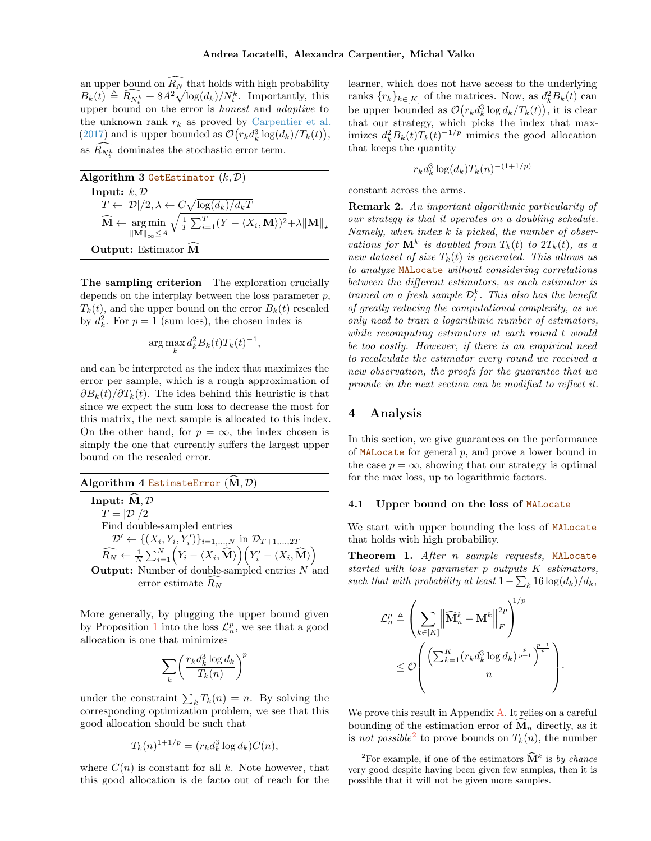an upper bound on  $\widehat{R_N}$  that holds with high probability  $B_k(t) \triangleq \widehat{R_{N_t^k}} + 8A^2 \sqrt{\log(d_k)/N_t^k}$ . Importantly, this upper bound on the error is *honest* and *adaptive* to the unknown rank  $r_k$  as proved by [Carpentier et al.](#page-8-11) [\(2017\)](#page-8-11) and is upper bounded as  $\mathcal{O}(r_k d_k^3 \log(d_k)/T_k(t)),$ as  ${\cal R}_{N_t^k}$  dominates the stochastic error term.

<span id="page-4-2"></span>

| Algorithm 3 GetEstimator $(k, D)$                                                                                                                                                                 |
|---------------------------------------------------------------------------------------------------------------------------------------------------------------------------------------------------|
| Input: $k, \mathcal{D}$                                                                                                                                                                           |
| $T \leftarrow  \mathcal{D} /2, \lambda \leftarrow C\sqrt{\log(d_k)/d_kT}$                                                                                                                         |
| $\widehat{\mathbf{M}} \leftarrow \underset{\ \mathbf{M}\ _{\infty} \leq A}{\arg \min} \sqrt{\frac{1}{T} \sum_{i=1}^{T} (Y - \langle X_i, \mathbf{M} \rangle)^2 + \lambda \ \mathbf{M}\ _{\star}}$ |
| Output: Estimator M                                                                                                                                                                               |

The sampling criterion The exploration crucially depends on the interplay between the loss parameter  $p$ ,  $T_k(t)$ , and the upper bound on the error  $B_k(t)$  rescaled by  $d_k^2$ . For  $p = 1$  (sum loss), the chosen index is

$$
\arg\max_{k} d_k^2 B_k(t) T_k(t)^{-1},
$$

and can be interpreted as the index that maximizes the error per sample, which is a rough approximation of  $\partial B_k(t)/\partial T_k(t)$ . The idea behind this heuristic is that since we expect the sum loss to decrease the most for this matrix, the next sample is allocated to this index. On the other hand, for  $p = \infty$ , the index chosen is simply the one that currently suffers the largest upper bound on the rescaled error.

Algorithm 4 EstimateError  $(M, D)$ Input:  $\widehat{M}, \mathcal{D}$  $T = |\mathcal{D}|/2$ Find double-sampled entries  $\mathcal{D}' \leftarrow \{(X_i, Y_i, Y'_i)\}_{i=1,\dots,N}$  in  $\mathcal{D}_{T+1,\dots,2T}$  $\widehat{R_N} \leftarrow \frac{1}{N}\sum_{i=1}^N \Big(Y_i - \langle X_i, \widehat{\mathbf{M}} \rangle\Big)\Big(Y_i' - \langle X_i, \widehat{\mathbf{M}} \rangle\Big)$ **Output:** Number of double-sampled entries  $N$  and error estimate  $R_N$ 

More generally, by plugging the upper bound given by Proposition [1](#page-1-2) into the loss  $\mathcal{L}_n^p$ , we see that a good allocation is one that minimizes

$$
\sum_k \biggl(\frac{r_k d_k^3 \log d_k}{T_k(n)}\biggr)^p
$$

under the constraint  $\sum_{k} T_k(n) = n$ . By solving the corresponding optimization problem, we see that this good allocation should be such that

$$
T_k(n)^{1+1/p} = (r_k d_k^3 \log d_k) C(n),
$$

where  $C(n)$  is constant for all k. Note however, that this good allocation is de facto out of reach for the

learner, which does not have access to the underlying ranks  $\{r_k\}_{k\in[K]}$  of the matrices. Now, as  $d_k^2B_k(t)$  can be upper bounded as  $\mathcal{O}(r_k d_k^3 \log d_k/T_k(t))$ , it is clear that our strategy, which picks the index that maximizes  $d_k^2 B_k(t) T_k(t)^{-1/p}$  mimics the good allocation that keeps the quantity

$$
r_k d_k^3 \log(d_k) T_k(n)^{-(1+1/p)}
$$

constant across the arms.

Remark 2. An important algorithmic particularity of our strategy is that it operates on a doubling schedule. Namely, when index  $k$  is picked, the number of observations for  $\mathbf{M}^k$  is doubled from  $T_k(t)$  to  $2T_k(t)$ , as a new dataset of size  $T_k(t)$  is generated. This allows us to analyze MALocate without considering correlations between the different estimators, as each estimator is trained on a fresh sample  $\mathcal{D}_t^k$ . This also has the benefit of greatly reducing the computational complexity, as we only need to train a logarithmic number of estimators, while recomputing estimators at each round t would be too costly. However, if there is an empirical need to recalculate the estimator every round we received a new observation, the proofs for the guarantee that we provide in the next section can be modified to reflect it.

# 4 Analysis

In this section, we give guarantees on the performance of  $MALocate$  for general  $p$ , and prove a lower bound in the case  $p = \infty$ , showing that our strategy is optimal for the max loss, up to logarithmic factors.

### 4.1 Upper bound on the loss of MALocate

We start with upper bounding the loss of MALocate that holds with high probability.

<span id="page-4-0"></span>Theorem 1. After n sample requests, MALocate started with loss parameter p outputs K estimators, such that with probability at least  $1 - \sum_k 16 \log(d_k)/d_k$ ,

$$
\mathcal{L}_n^p \triangleq \left( \sum_{k \in [K]} \left\| \widehat{\mathbf{M}}_n^k - \mathbf{M}^k \right\|_F^{2p} \right)^{1/p}
$$
  

$$
\leq \mathcal{O}\left( \frac{\left( \sum_{k=1}^K (r_k d_k^3 \log d_k)^{\frac{p}{p+1}} \right)^{\frac{p+1}{p}}}{n} \right).
$$

We prove this result in Appendix [A.](#page-0-0) It relies on a careful bounding of the estimation error of  $\mathbf{M}_n$  directly, as it is not possible<sup>[2](#page-4-1)</sup> to prove bounds on  $T_k(n)$ , the number

<span id="page-4-1"></span><sup>&</sup>lt;sup>2</sup>For example, if one of the estimators  $\widehat{\mathbf{M}}^k$  is by chance very good despite having been given few samples, then it is possible that it will not be given more samples.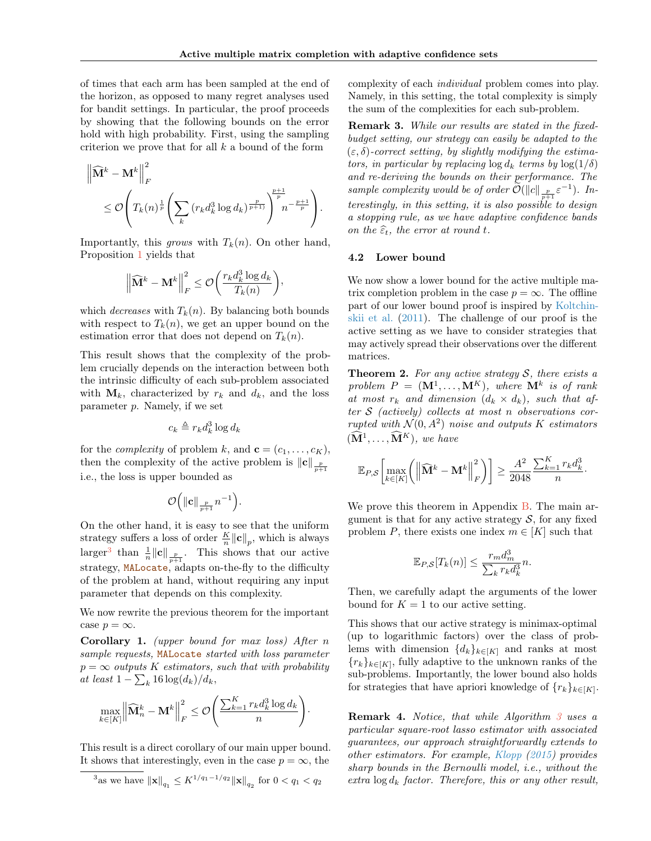of times that each arm has been sampled at the end of the horizon, as opposed to many regret analyses used for bandit settings. In particular, the proof proceeds by showing that the following bounds on the error hold with high probability. First, using the sampling criterion we prove that for all  $k$  a bound of the form

$$
\left\| \widehat{\mathbf{M}}^{k} - \mathbf{M}^{k} \right\|_{F}^{2} \leq \mathcal{O}\left( T_{k}(n)^{\frac{1}{p}} \left( \sum_{k} \left( r_{k} d_{k}^{3} \log d_{k} \right)^{\frac{p}{p+1}} \right)^{\frac{p+1}{p}} n^{-\frac{p+1}{p}} \right).
$$

Importantly, this grows with  $T_k(n)$ . On other hand, Proposition [1](#page-1-2) yields that

$$
\left\| \widehat{\mathbf{M}}^k - \mathbf{M}^k \right\|_F^2 \leq \mathcal{O}\bigg( \frac{r_k d_k^3 \log d_k}{T_k(n)} \bigg)
$$

,

which *decreases* with  $T_k(n)$ . By balancing both bounds with respect to  $T_k(n)$ , we get an upper bound on the estimation error that does not depend on  $T_k(n)$ .

This result shows that the complexity of the problem crucially depends on the interaction between both the intrinsic difficulty of each sub-problem associated with  $M_k$ , characterized by  $r_k$  and  $d_k$ , and the loss parameter  $p$ . Namely, if we set

$$
c_k \triangleq r_k d_k^3 \log d_k
$$

for the *complexity* of problem k, and  $\mathbf{c} = (c_1, \ldots, c_K)$ , then the complexity of the active problem is  $\|\mathbf{c}\|_{\frac{p}{p+1}}$ i.e., the loss is upper bounded as

$$
\mathcal{O}\Big(\|{\bf c}\|_{\frac{p}{p+1}}n^{-1}\Big).
$$

On the other hand, it is easy to see that the uniform strategy suffers a loss of order  $\frac{K}{n} ||\mathbf{c}||_p$ , which is always larger<sup>[3](#page-5-0)</sup> than  $\frac{1}{n} ||c||_{\frac{p}{p+1}}$ . This shows that our active strategy, MALocate, adapts on-the-fly to the difficulty of the problem at hand, without requiring any input parameter that depends on this complexity.

We now rewrite the previous theorem for the important case  $p = \infty$ .

**Corollary 1.** (upper bound for max loss) After  $n$ sample requests, MALocate started with loss parameter  $p = \infty$  outputs K estimators, such that with probability at least  $1 - \sum_k 16 \log(d_k)/d_k$ ,

$$
\max_{k \in [K]} \left\| \widehat{\mathbf{M}}_n^k - \mathbf{M}^k \right\|_F^2 \leq \mathcal{O}\left( \frac{\sum_{k=1}^K r_k d_k^3 \log d_k}{n} \right).
$$

This result is a direct corollary of our main upper bound. It shows that interestingly, even in the case  $p = \infty$ , the

complexity of each individual problem comes into play. Namely, in this setting, the total complexity is simply the sum of the complexities for each sub-problem.

Remark 3. While our results are stated in the fixedbudget setting, our strategy can easily be adapted to the  $(\varepsilon, \delta)$ -correct setting, by slightly modifying the estimators, in particular by replacing  $\log d_k$  terms by  $\log(1/\delta)$ and re-deriving the bounds on their performance. The sample complexity would be of order  $\widetilde{\mathcal{O}}(\Vert c \Vert_{\frac{p}{p+1}} \varepsilon^{-1}).$  Interestingly, in this setting, it is also possible to design a stopping rule, as we have adaptive confidence bands on the  $\widehat{\varepsilon}_t$ , the error at round t.

### 4.2 Lower bound

We now show a lower bound for the active multiple matrix completion problem in the case  $p = \infty$ . The offline part of our lower bound proof is inspired by [Koltchin](#page-8-7)[skii et al.](#page-8-7) [\(2011\)](#page-8-7). The challenge of our proof is the active setting as we have to consider strategies that may actively spread their observations over the different matrices.

**Theorem 2.** For any active strategy  $S$ , there exists a problem  $P = (\mathbf{M}^1, \dots, \mathbf{M}^K)$ , where  $\mathbf{M}^k$  is of rank at most  $r_k$  and dimension  $(d_k \times d_k)$ , such that after  $S$  (actively) collects at most n observations corrupted with  $\mathcal{N}(0, A^2)$  noise and outputs K estimators  $(\widehat{\mathbf{M}}^1, \ldots, \widehat{\mathbf{M}}^K)$ , we have

$$
\mathbb{E}_{P,S}\left[\max_{k\in[K]}\left(\left\|\widehat{\mathbf{M}}^k-\mathbf{M}^k\right\|_F^2\right)\right]\geq \frac{A^2}{2048}\frac{\sum_{k=1}^K r_k d_k^3}{n}.
$$

We prove this theorem in Appendix [B.](#page-0-0) The main argument is that for any active strategy  $S$ , for any fixed problem P, there exists one index  $m \in [K]$  such that

$$
\mathbb{E}_{P,S}[T_k(n)] \le \frac{r_m d_m^3}{\sum_k r_k d_k^3} n.
$$

Then, we carefully adapt the arguments of the lower bound for  $K = 1$  to our active setting.

This shows that our active strategy is minimax-optimal (up to logarithmic factors) over the class of problems with dimension  $\{d_k\}_{k\in[K]}$  and ranks at most  ${r_k}_{k\in[K]}$ , fully adaptive to the unknown ranks of the sub-problems. Importantly, the lower bound also holds for strategies that have apriori knowledge of  $\{r_k\}_{k\in[K]}$ .

<span id="page-5-1"></span>Remark 4. Notice, that while Algorithm [3](#page-4-2) uses a particular square-root lasso estimator with associated guarantees, our approach straightforwardly extends to other estimators. For example, [Klopp](#page-8-15) [\(2015\)](#page-8-15) provides sharp bounds in the Bernoulli model, i.e., without the extra  $\log d_k$  factor. Therefore, this or any other result,

<span id="page-5-0"></span><sup>&</sup>lt;sup>3</sup>as we have  $\|\mathbf{x}\|_{q_1} \leq K^{1/q_1-1/q_2} \|\mathbf{x}\|_{q_2}$  for  $0 < q_1 < q_2$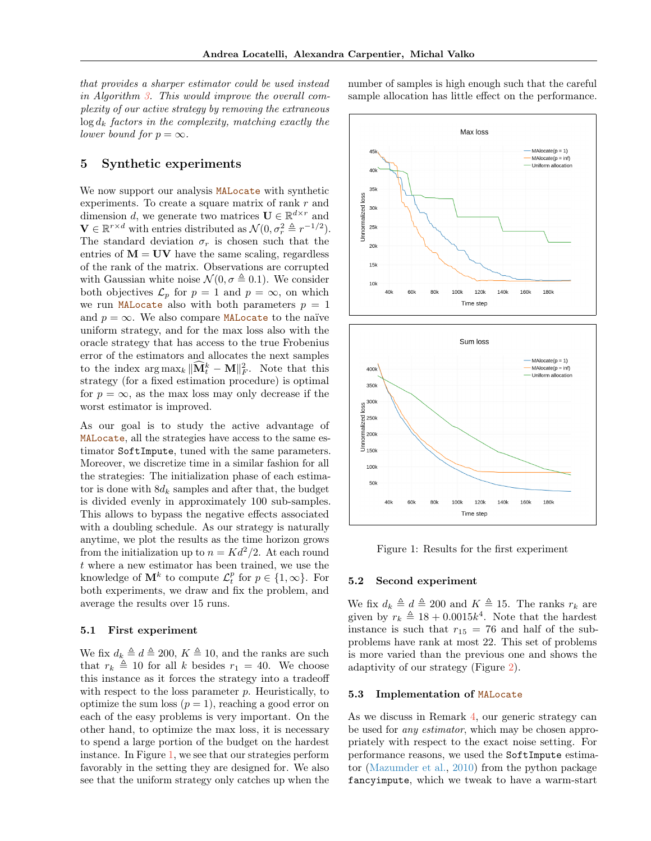that provides a sharper estimator could be used instead in Algorithm [3.](#page-4-2) This would improve the overall complexity of our active strategy by removing the extraneous  $\log d_k$  factors in the complexity, matching exactly the lower bound for  $p = \infty$ .

# 5 Synthetic experiments

We now support our analysis MALocate with synthetic experiments. To create a square matrix of rank  $r$  and dimension d, we generate two matrices  $\mathbf{U} \in \mathbb{R}^{d \times r}$  and  $\mathbf{V} \in \mathbb{R}^{r \times d}$  with entries distributed as  $\mathcal{N}(0, \sigma_r^2 \triangleq r^{-1/2})$ . The standard deviation  $\sigma_r$  is chosen such that the entries of  $M = UV$  have the same scaling, regardless of the rank of the matrix. Observations are corrupted with Gaussian white noise  $\mathcal{N}(0, \sigma \triangleq 0.1)$ . We consider both objectives  $\mathcal{L}_p$  for  $p = 1$  and  $p = \infty$ , on which we run MALocate also with both parameters  $p = 1$ and  $p = \infty$ . We also compare MALocate to the naïve uniform strategy, and for the max loss also with the oracle strategy that has access to the true Frobenius error of the estimators and allocates the next samples to the index  $\arg \max_k \|\widehat{\mathbf{M}}_t^k - \mathbf{M}\|_F^2$ . Note that this strategy (for a fixed estimation procedure) is optimal for  $p = \infty$ , as the max loss may only decrease if the worst estimator is improved.

As our goal is to study the active advantage of MALocate, all the strategies have access to the same estimator SoftImpute, tuned with the same parameters. Moreover, we discretize time in a similar fashion for all the strategies: The initialization phase of each estimator is done with  $8d_k$  samples and after that, the budget is divided evenly in approximately 100 sub-samples. This allows to bypass the negative effects associated with a doubling schedule. As our strategy is naturally anytime, we plot the results as the time horizon grows from the initialization up to  $n = K d^2/2$ . At each round t where a new estimator has been trained, we use the knowledge of  $\mathbf{M}^k$  to compute  $\mathcal{L}_t^p$  for  $p \in \{1, \infty\}$ . For both experiments, we draw and fix the problem, and average the results over 15 runs.

### 5.1 First experiment

We fix  $d_k \triangleq d \triangleq 200, K \triangleq 10$ , and the ranks are such that  $r_k \triangleq 10$  for all k besides  $r_1 = 40$ . We choose this instance as it forces the strategy into a tradeoff with respect to the loss parameter  $p$ . Heuristically, to optimize the sum loss  $(p = 1)$ , reaching a good error on each of the easy problems is very important. On the other hand, to optimize the max loss, it is necessary to spend a large portion of the budget on the hardest instance. In Figure [1,](#page-6-0) we see that our strategies perform favorably in the setting they are designed for. We also see that the uniform strategy only catches up when the

number of samples is high enough such that the careful sample allocation has little effect on the performance.



<span id="page-6-0"></span>Figure 1: Results for the first experiment

#### 5.2 Second experiment

We fix  $d_k \triangleq d \triangleq 200$  and  $K \triangleq 15$ . The ranks  $r_k$  are given by  $r_k \triangleq 18 + 0.0015k^4$ . Note that the hardest instance is such that  $r_{15} = 76$  and half of the subproblems have rank at most 22. This set of problems is more varied than the previous one and shows the adaptivity of our strategy (Figure [2\)](#page-7-0).

### 5.3 Implementation of MALocate

As we discuss in Remark [4,](#page-5-1) our generic strategy can be used for any estimator, which may be chosen appropriately with respect to the exact noise setting. For performance reasons, we used the SoftImpute estimator [\(Mazumder et al.,](#page-8-16) [2010\)](#page-8-16) from the python package fancyimpute, which we tweak to have a warm-start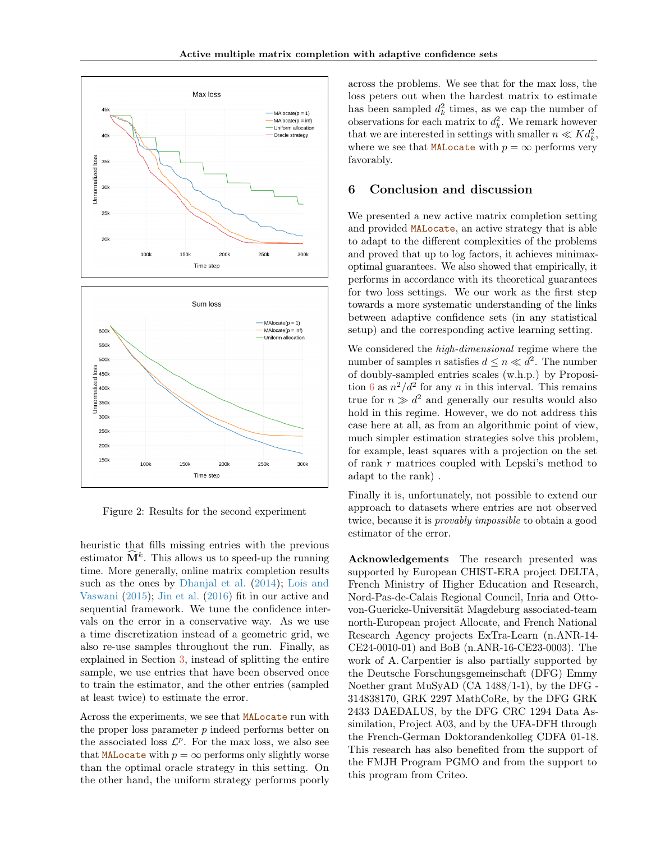



<span id="page-7-0"></span>Figure 2: Results for the second experiment

heuristic that fills missing entries with the previous estimator  $\widehat{\mathbf{M}}^k$ . This allows us to speed-up the running time. More generally, online matrix completion results such as the ones by [Dhanjal et al.](#page-8-17) [\(2014\)](#page-8-17); [Lois and](#page-8-18) [Vaswani](#page-8-18) [\(2015\)](#page-8-18); [Jin et al.](#page-8-19) [\(2016\)](#page-8-19) fit in our active and sequential framework. We tune the confidence intervals on the error in a conservative way. As we use a time discretization instead of a geometric grid, we also re-use samples throughout the run. Finally, as explained in Section [3,](#page-3-0) instead of splitting the entire sample, we use entries that have been observed once to train the estimator, and the other entries (sampled at least twice) to estimate the error.

Across the experiments, we see that MALocate run with the proper loss parameter  $p$  indeed performs better on the associated loss  $\mathcal{L}^p$ . For the max loss, we also see that MALocate with  $p = \infty$  performs only slightly worse than the optimal oracle strategy in this setting. On the other hand, the uniform strategy performs poorly

across the problems. We see that for the max loss, the loss peters out when the hardest matrix to estimate has been sampled  $d_k^2$  times, as we cap the number of observations for each matrix to  $d_k^2$ . We remark however that we are interested in settings with smaller  $n \ll K d_k^2$ , where we see that MALocate with  $p = \infty$  performs very favorably.

# 6 Conclusion and discussion

We presented a new active matrix completion setting and provided MALocate, an active strategy that is able to adapt to the different complexities of the problems and proved that up to log factors, it achieves minimaxoptimal guarantees. We also showed that empirically, it performs in accordance with its theoretical guarantees for two loss settings. We our work as the first step towards a more systematic understanding of the links between adaptive confidence sets (in any statistical setup) and the corresponding active learning setting.

We considered the high-dimensional regime where the number of samples *n* satisfies  $d \leq n \ll d^2$ . The number of doubly-sampled entries scales (w.h.p.) by Proposi-tion [6](#page-0-0) as  $n^2/d^2$  for any n in this interval. This remains true for  $n \gg d^2$  and generally our results would also hold in this regime. However, we do not address this case here at all, as from an algorithmic point of view, much simpler estimation strategies solve this problem, for example, least squares with a projection on the set of rank r matrices coupled with Lepski's method to adapt to the rank) .

Finally it is, unfortunately, not possible to extend our approach to datasets where entries are not observed twice, because it is provably impossible to obtain a good estimator of the error.

Acknowledgements The research presented was supported by European CHIST-ERA project DELTA, French Ministry of Higher Education and Research, Nord-Pas-de-Calais Regional Council, Inria and Ottovon-Guericke-Universität Magdeburg associated-team north-European project Allocate, and French National Research Agency projects ExTra-Learn (n.ANR-14- CE24-0010-01) and BoB (n.ANR-16-CE23-0003). The work of A. Carpentier is also partially supported by the Deutsche Forschungsgemeinschaft (DFG) Emmy Noether grant MuSyAD (CA 1488/1-1), by the DFG - 314838170, GRK 2297 MathCoRe, by the DFG GRK 2433 DAEDALUS, by the DFG CRC 1294 Data Assimilation, Project A03, and by the UFA-DFH through the French-German Doktorandenkolleg CDFA 01-18. This research has also benefited from the support of the FMJH Program PGMO and from the support to this program from Criteo.